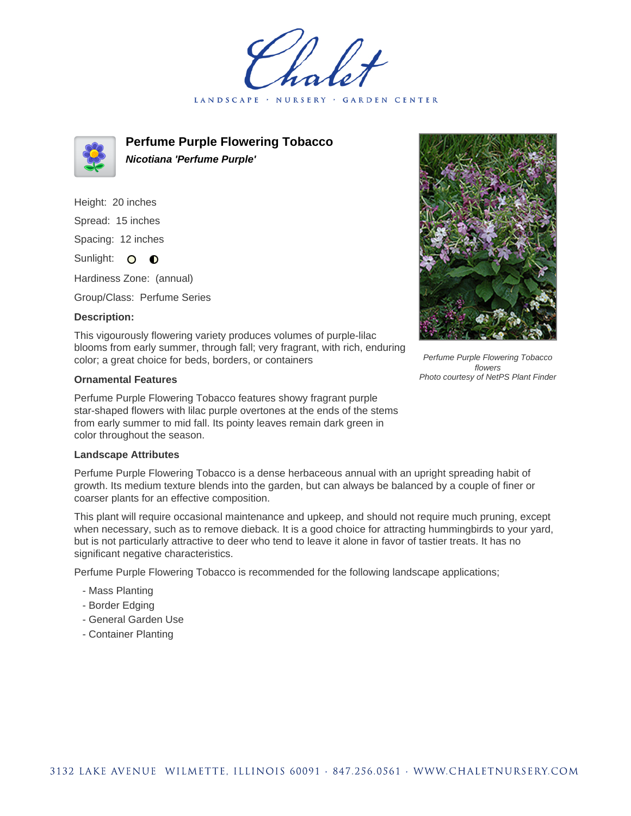LANDSCAPE · **GARDEN CENTER** 



**Perfume Purple Flowering Tobacco Nicotiana 'Perfume Purple'**

Height: 20 inches Spread: 15 inches Spacing: 12 inches Sunlight: O O Hardiness Zone: (annual)

Group/Class: Perfume Series

## **Description:**

This vigourously flowering variety produces volumes of purple-lilac blooms from early summer, through fall; very fragrant, with rich, enduring color; a great choice for beds, borders, or containers

## **Ornamental Features**

Perfume Purple Flowering Tobacco features showy fragrant purple star-shaped flowers with lilac purple overtones at the ends of the stems from early summer to mid fall. Its pointy leaves remain dark green in color throughout the season.

## **Landscape Attributes**

Perfume Purple Flowering Tobacco is a dense herbaceous annual with an upright spreading habit of growth. Its medium texture blends into the garden, but can always be balanced by a couple of finer or coarser plants for an effective composition.

This plant will require occasional maintenance and upkeep, and should not require much pruning, except when necessary, such as to remove dieback. It is a good choice for attracting hummingbirds to your yard, but is not particularly attractive to deer who tend to leave it alone in favor of tastier treats. It has no significant negative characteristics.

Perfume Purple Flowering Tobacco is recommended for the following landscape applications;

- Mass Planting
- Border Edging
- General Garden Use
- Container Planting



Perfume Purple Flowering Tobacco flowers Photo courtesy of NetPS Plant Finder